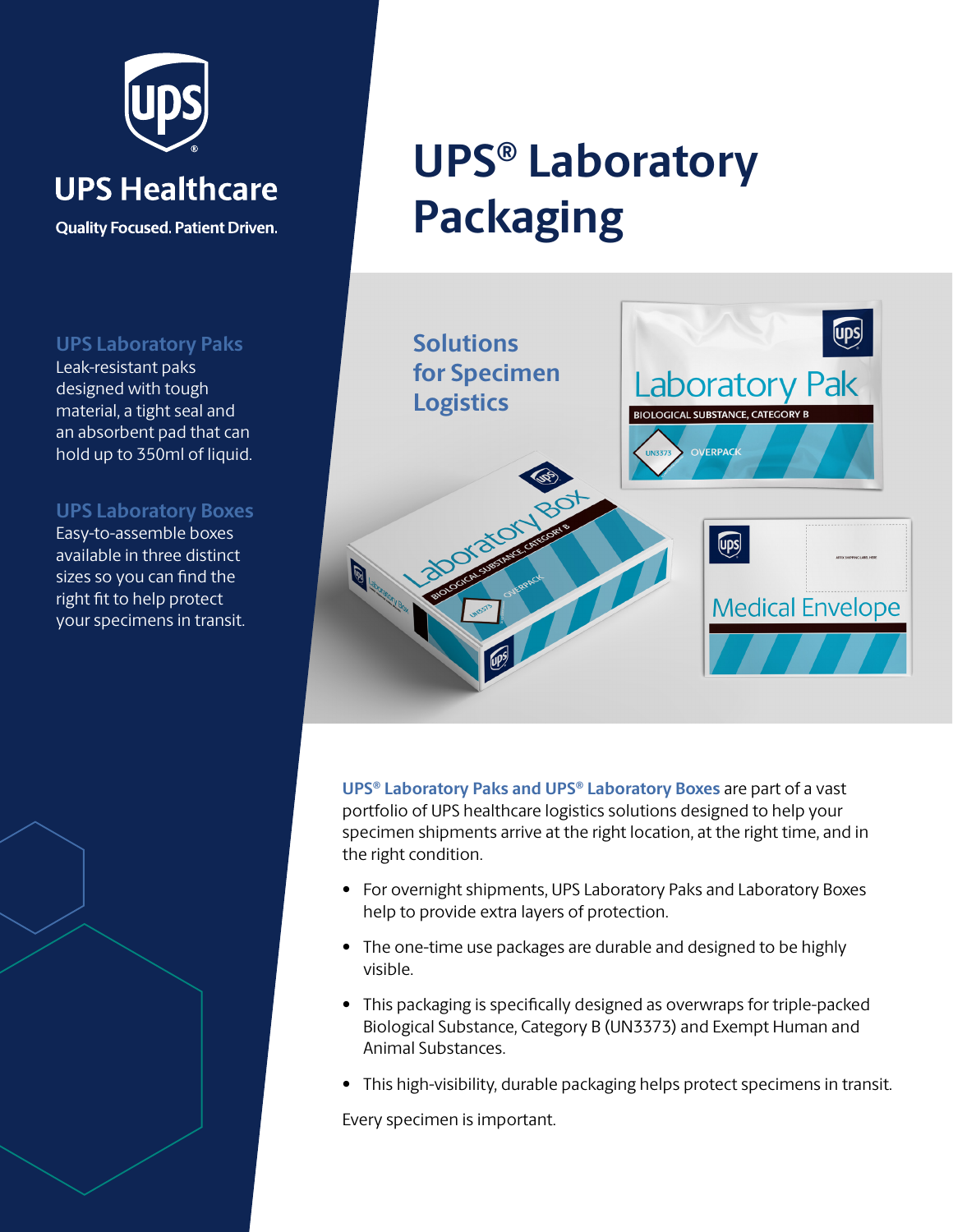

**Quality Focused. Patient Driven.** 

**UPS Laboratory Paks**

Leak-resistant paks designed with tough material, a tight seal and an absorbent pad that can hold up to 350ml of liquid.

## **UPS Laboratory Boxes**

Easy-to-assemble boxes available in three distinct sizes so you can find the right fit to help protect your specimens in transit.

# **UPS® Laboratory Packaging**



**UPS® Laboratory Paks and UPS® Laboratory Boxes** are part of a vast portfolio of UPS healthcare logistics solutions designed to help your specimen shipments arrive at the right location, at the right time, and in the right condition.

- For overnight shipments, UPS Laboratory Paks and Laboratory Boxes help to provide extra layers of protection.
- The one-time use packages are durable and designed to be highly visible.
- This packaging is specifically designed as overwraps for triple-packed Biological Substance, Category B (UN3373) and Exempt Human and Animal Substances.
- This high-visibility, durable packaging helps protect specimens in transit.

Every specimen is important.